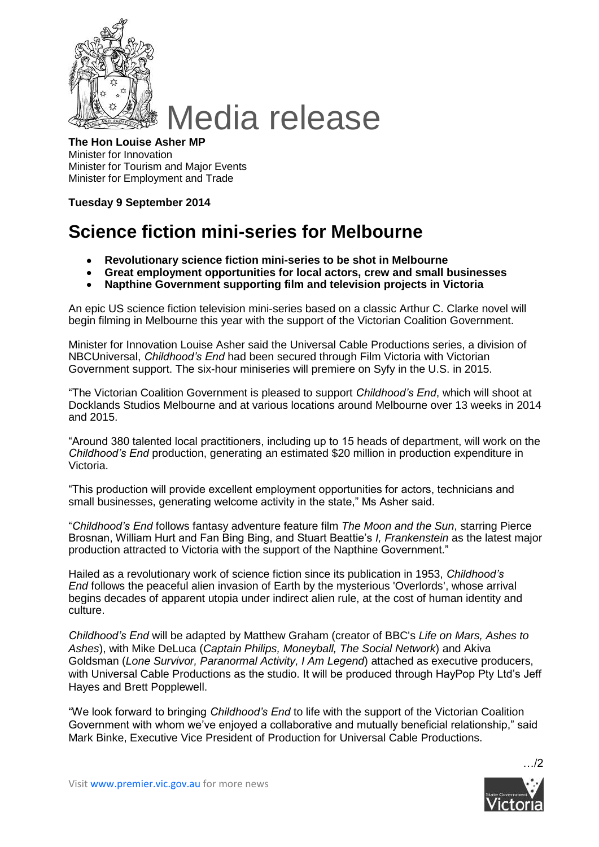

## **The Hon Louise Asher MP** Minister for Innovation Minister for Tourism and Major Events Minister for Employment and Trade

## **Tuesday 9 September 2014**

## **Science fiction mini-series for Melbourne**

- **Revolutionary science fiction mini-series to be shot in Melbourne**  $\bullet$
- **Great employment opportunities for local actors, crew and small businesses**  $\bullet$
- **Napthine Government supporting film and television projects in Victoria**

An epic US science fiction television mini-series based on a classic Arthur C. Clarke novel will begin filming in Melbourne this year with the support of the Victorian Coalition Government.

Minister for Innovation Louise Asher said the Universal Cable Productions series, a division of NBCUniversal, *Childhood's End* had been secured through Film Victoria with Victorian Government support. The six-hour miniseries will premiere on Syfy in the U.S. in 2015.

"The Victorian Coalition Government is pleased to support *Childhood's End*, which will shoot at Docklands Studios Melbourne and at various locations around Melbourne over 13 weeks in 2014 and 2015.

"Around 380 talented local practitioners, including up to 15 heads of department, will work on the *Childhood's End* production, generating an estimated \$20 million in production expenditure in Victoria.

"This production will provide excellent employment opportunities for actors, technicians and small businesses, generating welcome activity in the state," Ms Asher said.

"*Childhood's End* follows fantasy adventure feature film *The Moon and the Sun*, starring Pierce Brosnan, William Hurt and Fan Bing Bing, and Stuart Beattie's *I, Frankenstein* as the latest major production attracted to Victoria with the support of the Napthine Government."

Hailed as a revolutionary work of science fiction since its publication in 1953, *Childhood's End* follows the peaceful alien invasion of Earth by the mysterious 'Overlords', whose arrival begins decades of apparent utopia under indirect alien rule, at the cost of human identity and culture.

*Childhood's End* will be adapted by Matthew Graham (creator of BBC's *Life on Mars, Ashes to Ashes*), with Mike DeLuca (*Captain Philips, Moneyball, The Social Network*) and Akiva Goldsman (*Lone Survivor, Paranormal Activity, I Am Legend*) attached as executive producers, with Universal Cable Productions as the studio. It will be produced through HayPop Pty Ltd's Jeff Hayes and Brett Popplewell.

"We look forward to bringing *Childhood's End* to life with the support of the Victorian Coalition Government with whom we've enjoyed a collaborative and mutually beneficial relationship," said Mark Binke, Executive Vice President of Production for Universal Cable Productions.